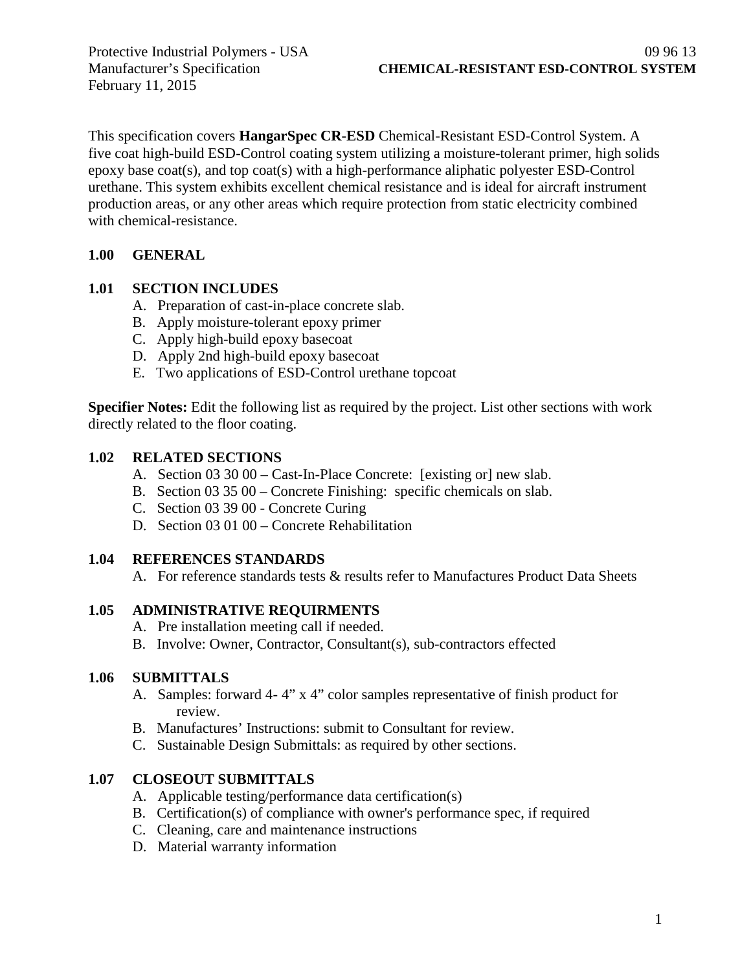February 11, 2015

This specification covers **HangarSpec CR-ESD** Chemical-Resistant ESD-Control System. A five coat high-build ESD-Control coating system utilizing a moisture-tolerant primer, high solids epoxy base coat(s), and top coat(s) with a high-performance aliphatic polyester ESD-Control urethane. This system exhibits excellent chemical resistance and is ideal for aircraft instrument production areas, or any other areas which require protection from static electricity combined with chemical-resistance.

### **1.00 GENERAL**

### **1.01 SECTION INCLUDES**

- A. Preparation of cast-in-place concrete slab.
- B. Apply moisture-tolerant epoxy primer
- C. Apply high-build epoxy basecoat
- D. Apply 2nd high-build epoxy basecoat
- E. Two applications of ESD-Control urethane topcoat

**Specifier Notes:** Edit the following list as required by the project. List other sections with work directly related to the floor coating.

#### **1.02 RELATED SECTIONS**

- A. Section 03 30 00 Cast-In-Place Concrete: [existing or] new slab.
- B. Section 03 35 00 Concrete Finishing: specific chemicals on slab.
- C. Section 03 39 00 Concrete Curing
- D. Section 03 01 00 Concrete Rehabilitation

### **1.04 REFERENCES STANDARDS**

A. For reference standards tests & results refer to Manufactures Product Data Sheets

### **1.05 ADMINISTRATIVE REQUIRMENTS**

- A. Pre installation meeting call if needed.
- B. Involve: Owner, Contractor, Consultant(s), sub-contractors effected

### **1.06 SUBMITTALS**

- A. Samples: forward 4- 4" x 4" color samples representative of finish product for review.
- B. Manufactures' Instructions: submit to Consultant for review.
- C. Sustainable Design Submittals: as required by other sections.

### **1.07 CLOSEOUT SUBMITTALS**

- A. Applicable testing/performance data certification(s)
- B. Certification(s) of compliance with owner's performance spec, if required
- C. Cleaning, care and maintenance instructions
- D. Material warranty information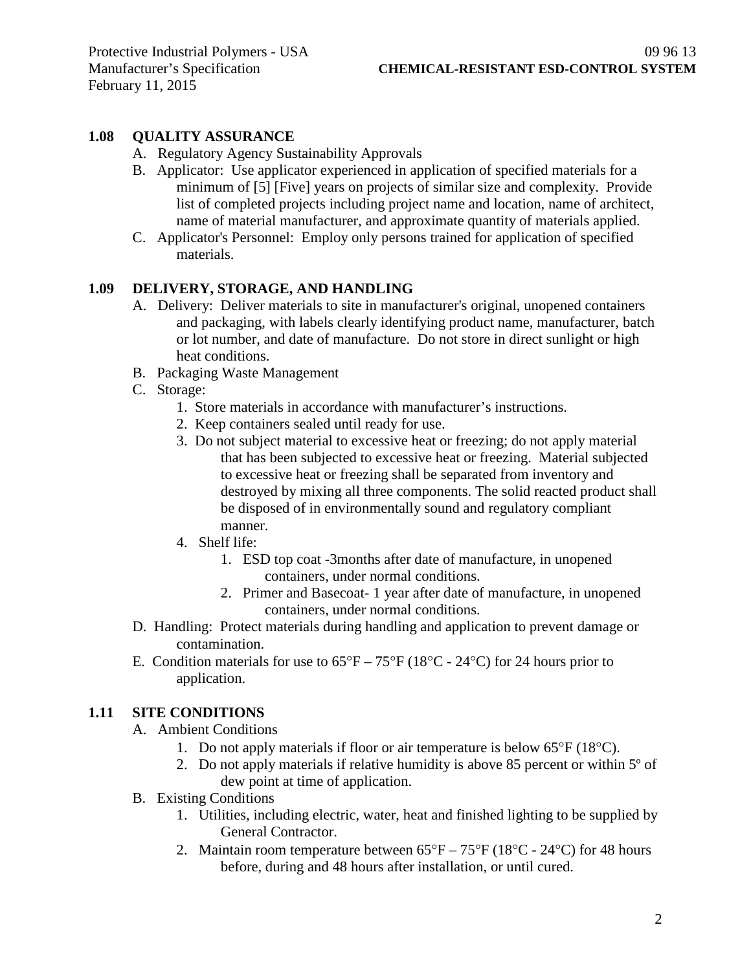### **1.08 QUALITY ASSURANCE**

- A. Regulatory Agency Sustainability Approvals
- B. Applicator: Use applicator experienced in application of specified materials for a minimum of [5] [Five] years on projects of similar size and complexity. Provide list of completed projects including project name and location, name of architect, name of material manufacturer, and approximate quantity of materials applied.
- C. Applicator's Personnel: Employ only persons trained for application of specified materials.

### **1.09 DELIVERY, STORAGE, AND HANDLING**

- A. Delivery: Deliver materials to site in manufacturer's original, unopened containers and packaging, with labels clearly identifying product name, manufacturer, batch or lot number, and date of manufacture. Do not store in direct sunlight or high heat conditions.
- B. Packaging Waste Management
- C. Storage:
	- 1. Store materials in accordance with manufacturer's instructions.
	- 2. Keep containers sealed until ready for use.
	- 3. Do not subject material to excessive heat or freezing; do not apply material that has been subjected to excessive heat or freezing. Material subjected to excessive heat or freezing shall be separated from inventory and destroyed by mixing all three components. The solid reacted product shall be disposed of in environmentally sound and regulatory compliant manner.
	- 4. Shelf life:
		- 1. ESD top coat -3months after date of manufacture, in unopened containers, under normal conditions.
		- 2. Primer and Basecoat- 1 year after date of manufacture, in unopened containers, under normal conditions.
- D. Handling: Protect materials during handling and application to prevent damage or contamination.
- E. Condition materials for use to  $65^{\circ}F 75^{\circ}F (18^{\circ}C 24^{\circ}C)$  for 24 hours prior to application.

### **1.11 SITE CONDITIONS**

- A. Ambient Conditions
	- 1. Do not apply materials if floor or air temperature is below 65°F (18°C).
	- 2. Do not apply materials if relative humidity is above 85 percent or within 5º of dew point at time of application.
- B. Existing Conditions
	- 1. Utilities, including electric, water, heat and finished lighting to be supplied by General Contractor.
	- 2. Maintain room temperature between  $65^{\circ}F 75^{\circ}F (18^{\circ}C 24^{\circ}C)$  for 48 hours before, during and 48 hours after installation, or until cured.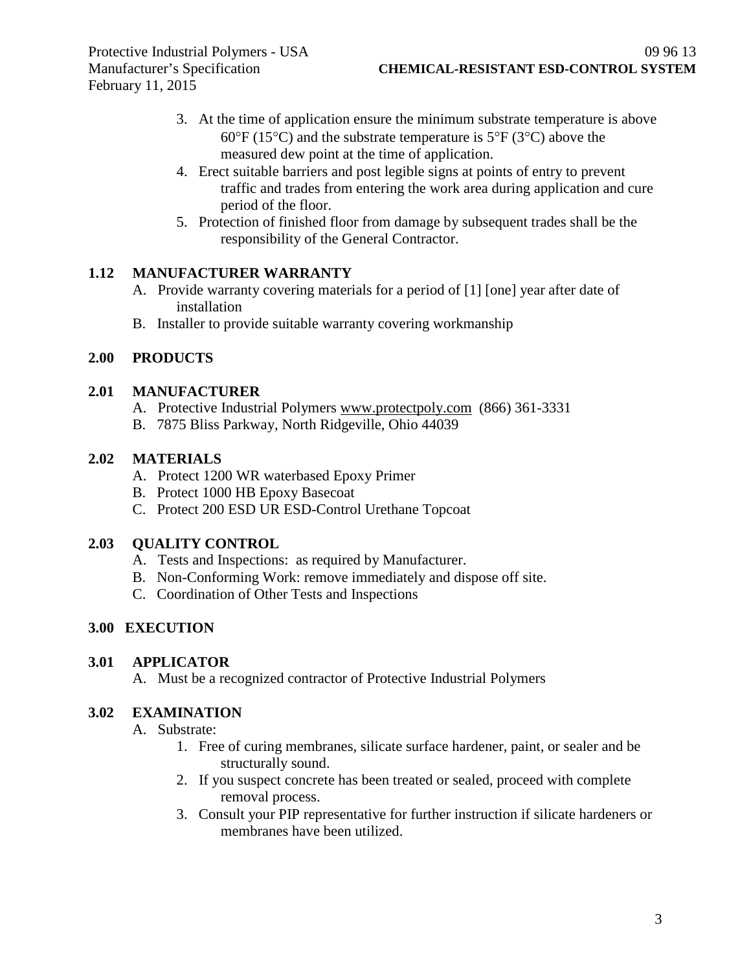- 3. At the time of application ensure the minimum substrate temperature is above  $60^{\circ}$ F (15<sup>o</sup>C) and the substrate temperature is 5<sup>o</sup>F (3<sup>o</sup>C) above the measured dew point at the time of application.
- 4. Erect suitable barriers and post legible signs at points of entry to prevent traffic and trades from entering the work area during application and cure period of the floor.
- 5. Protection of finished floor from damage by subsequent trades shall be the responsibility of the General Contractor.

### **1.12 MANUFACTURER WARRANTY**

- A. Provide warranty covering materials for a period of [1] [one] year after date of installation
- B. Installer to provide suitable warranty covering workmanship

## **2.00 PRODUCTS**

#### **2.01 MANUFACTURER**

- A. Protective Industrial Polymers [www.protectpoly.com](http://www.protectpoly.com/) (866) 361-3331
- B. 7875 Bliss Parkway, North Ridgeville, Ohio 44039

### **2.02 MATERIALS**

- A. Protect 1200 WR waterbased Epoxy Primer
- B. Protect 1000 HB Epoxy Basecoat
- C. Protect 200 ESD UR ESD-Control Urethane Topcoat

### **2.03 QUALITY CONTROL**

- A. Tests and Inspections: as required by Manufacturer.
- B. Non-Conforming Work: remove immediately and dispose off site.
- C. Coordination of Other Tests and Inspections

## **3.00 EXECUTION**

#### **3.01 APPLICATOR**

A. Must be a recognized contractor of Protective Industrial Polymers

#### **3.02 EXAMINATION**

- A. Substrate:
	- 1. Free of curing membranes, silicate surface hardener, paint, or sealer and be structurally sound.
	- 2. If you suspect concrete has been treated or sealed, proceed with complete removal process.
	- 3. Consult your PIP representative for further instruction if silicate hardeners or membranes have been utilized.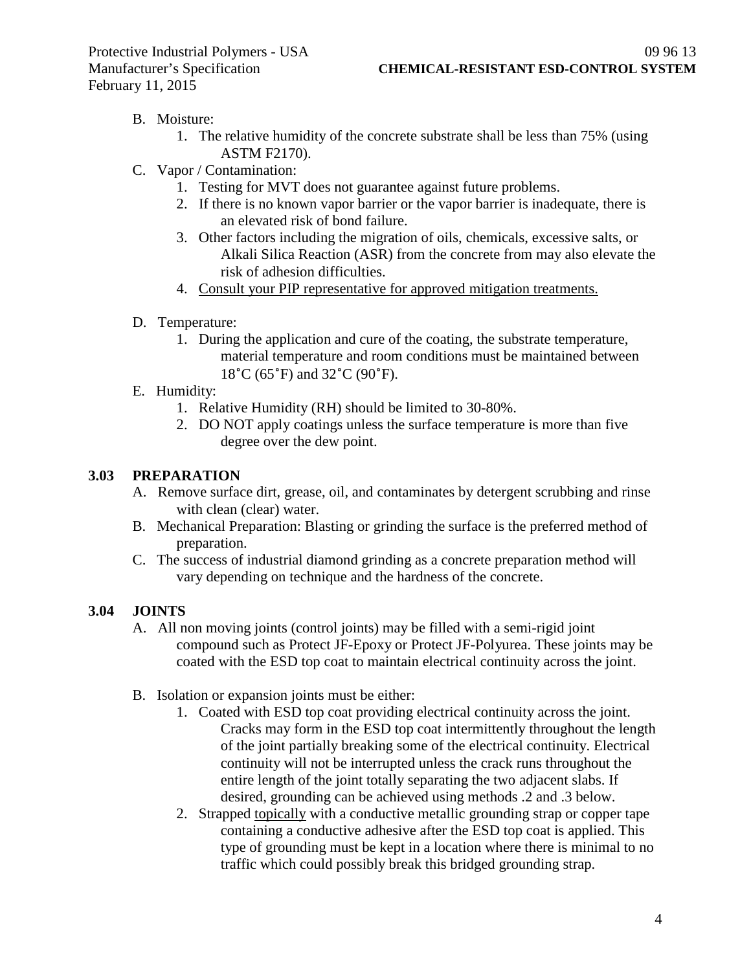# B. Moisture:

- 1. The relative humidity of the concrete substrate shall be less than 75% (using ASTM F2170).
- C. Vapor / Contamination:
	- 1. Testing for MVT does not guarantee against future problems.
	- 2. If there is no known vapor barrier or the vapor barrier is inadequate, there is an elevated risk of bond failure.
	- 3. Other factors including the migration of oils, chemicals, excessive salts, or Alkali Silica Reaction (ASR) from the concrete from may also elevate the risk of adhesion difficulties.
	- 4. Consult your PIP representative for approved mitigation treatments.
- D. Temperature:
	- 1. During the application and cure of the coating, the substrate temperature, material temperature and room conditions must be maintained between 18˚C (65˚F) and 32˚C (90˚F).
- E. Humidity:
	- 1. Relative Humidity (RH) should be limited to 30-80%.
	- 2. DO NOT apply coatings unless the surface temperature is more than five degree over the dew point.

## **3.03 PREPARATION**

- A. Remove surface dirt, grease, oil, and contaminates by detergent scrubbing and rinse with clean (clear) water.
- B. Mechanical Preparation: Blasting or grinding the surface is the preferred method of preparation.
- C. The success of industrial diamond grinding as a concrete preparation method will vary depending on technique and the hardness of the concrete.

# **3.04 JOINTS**

- A. All non moving joints (control joints) may be filled with a semi-rigid joint compound such as Protect JF-Epoxy or Protect JF-Polyurea. These joints may be coated with the ESD top coat to maintain electrical continuity across the joint.
- B. Isolation or expansion joints must be either:
	- 1. Coated with ESD top coat providing electrical continuity across the joint. Cracks may form in the ESD top coat intermittently throughout the length of the joint partially breaking some of the electrical continuity. Electrical continuity will not be interrupted unless the crack runs throughout the entire length of the joint totally separating the two adjacent slabs. If desired, grounding can be achieved using methods .2 and .3 below.
	- 2. Strapped topically with a conductive metallic grounding strap or copper tape containing a conductive adhesive after the ESD top coat is applied. This type of grounding must be kept in a location where there is minimal to no traffic which could possibly break this bridged grounding strap.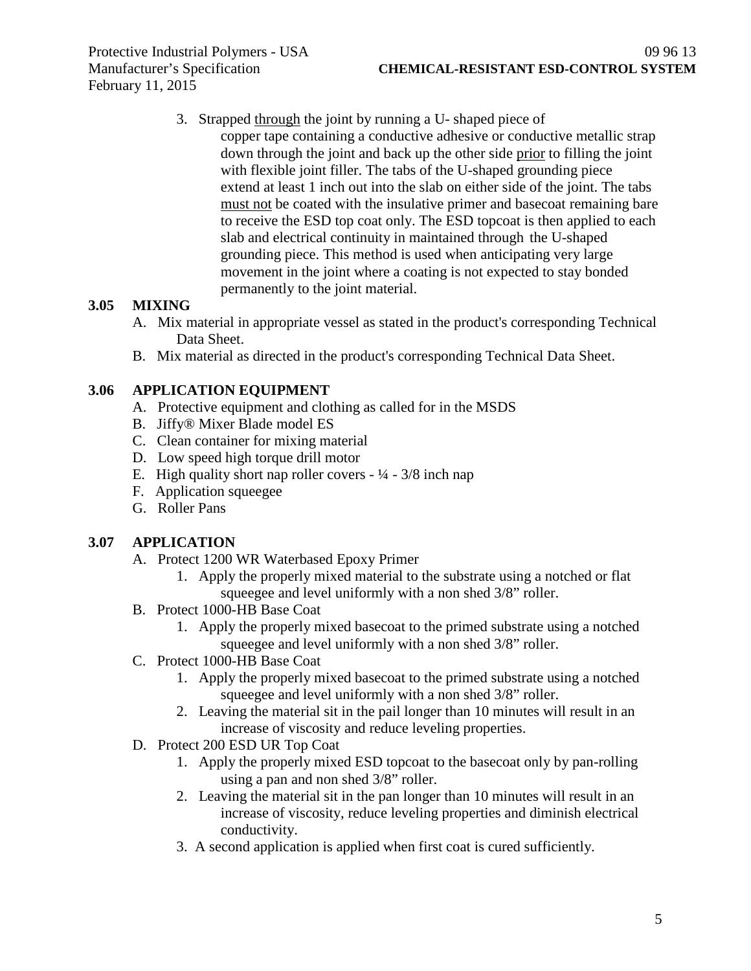3. Strapped through the joint by running a U- shaped piece of copper tape containing a conductive adhesive or conductive metallic strap down through the joint and back up the other side prior to filling the joint with flexible joint filler. The tabs of the U-shaped grounding piece extend at least 1 inch out into the slab on either side of the joint. The tabs must not be coated with the insulative primer and basecoat remaining bare to receive the ESD top coat only. The ESD topcoat is then applied to each slab and electrical continuity in maintained through the U-shaped grounding piece. This method is used when anticipating very large movement in the joint where a coating is not expected to stay bonded permanently to the joint material.

## **3.05 MIXING**

- A. Mix material in appropriate vessel as stated in the product's corresponding Technical Data Sheet.
- B. Mix material as directed in the product's corresponding Technical Data Sheet.

### **3.06 APPLICATION EQUIPMENT**

- A. Protective equipment and clothing as called for in the MSDS
- B. Jiffy® Mixer Blade model ES
- C. Clean container for mixing material
- D. Low speed high torque drill motor
- E. High quality short nap roller covers  $-1/4 3/8$  inch nap
- F. Application squeegee
- G. Roller Pans

### **3.07 APPLICATION**

- A. Protect 1200 WR Waterbased Epoxy Primer
	- 1. Apply the properly mixed material to the substrate using a notched or flat squeegee and level uniformly with a non shed 3/8" roller.
- B. Protect 1000-HB Base Coat
	- 1. Apply the properly mixed basecoat to the primed substrate using a notched squeegee and level uniformly with a non shed 3/8" roller.
- C. Protect 1000-HB Base Coat
	- 1. Apply the properly mixed basecoat to the primed substrate using a notched squeegee and level uniformly with a non shed 3/8" roller.
	- 2. Leaving the material sit in the pail longer than 10 minutes will result in an increase of viscosity and reduce leveling properties.
- D. Protect 200 ESD UR Top Coat
	- 1. Apply the properly mixed ESD topcoat to the basecoat only by pan-rolling using a pan and non shed 3/8" roller.
	- 2. Leaving the material sit in the pan longer than 10 minutes will result in an increase of viscosity, reduce leveling properties and diminish electrical conductivity.
	- 3. A second application is applied when first coat is cured sufficiently.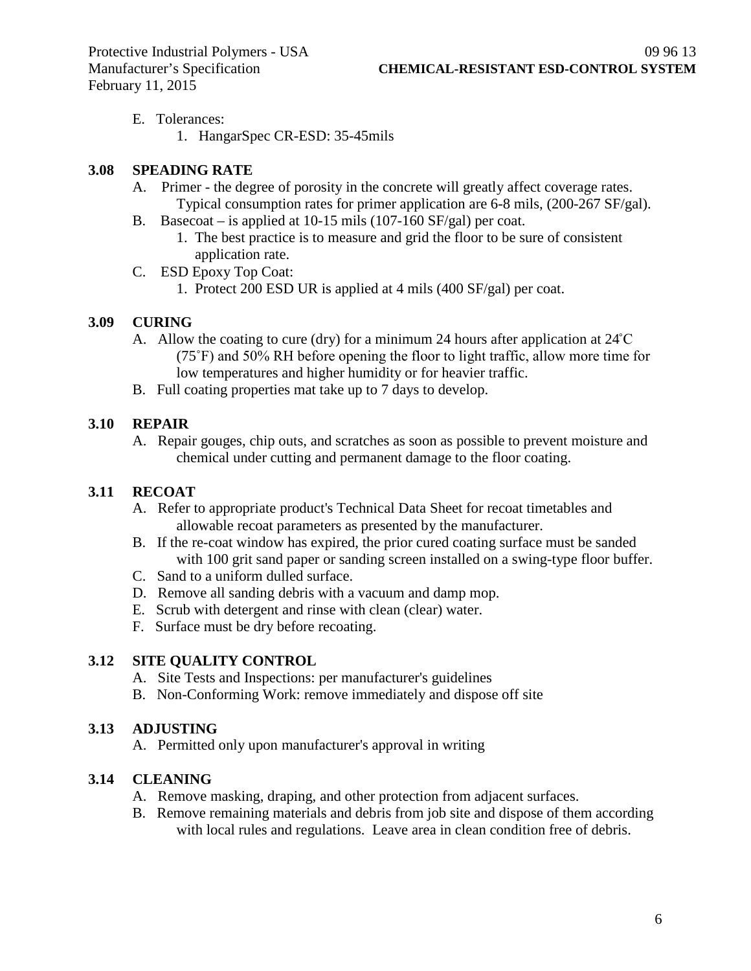- E. Tolerances:
	- 1. HangarSpec CR-ESD: 35-45mils

### **3.08 SPEADING RATE**

- A. Primer the degree of porosity in the concrete will greatly affect coverage rates. Typical consumption rates for primer application are 6-8 mils, (200-267 SF/gal).
- B. Basecoat is applied at 10-15 mils (107-160 SF/gal) per coat.
	- 1. The best practice is to measure and grid the floor to be sure of consistent application rate.
- C. ESD Epoxy Top Coat:
	- 1. Protect 200 ESD UR is applied at 4 mils (400 SF/gal) per coat.

### **3.09 CURING**

- A. Allow the coating to cure (dry) for a minimum 24 hours after application at 24˚C (75˚F) and 50% RH before opening the floor to light traffic, allow more time for low temperatures and higher humidity or for heavier traffic.
- B. Full coating properties mat take up to 7 days to develop.

## **3.10 REPAIR**

A. Repair gouges, chip outs, and scratches as soon as possible to prevent moisture and chemical under cutting and permanent damage to the floor coating.

### **3.11 RECOAT**

- A. Refer to appropriate product's Technical Data Sheet for recoat timetables and allowable recoat parameters as presented by the manufacturer.
- B. If the re-coat window has expired, the prior cured coating surface must be sanded with 100 grit sand paper or sanding screen installed on a swing-type floor buffer.
- C. Sand to a uniform dulled surface.
- D. Remove all sanding debris with a vacuum and damp mop.
- E. Scrub with detergent and rinse with clean (clear) water.
- F. Surface must be dry before recoating.

### **3.12 SITE QUALITY CONTROL**

- A. Site Tests and Inspections: per manufacturer's guidelines
- B. Non-Conforming Work: remove immediately and dispose off site

### **3.13 ADJUSTING**

A. Permitted only upon manufacturer's approval in writing

# **3.14 CLEANING**

- A. Remove masking, draping, and other protection from adjacent surfaces.
- B. Remove remaining materials and debris from job site and dispose of them according with local rules and regulations. Leave area in clean condition free of debris.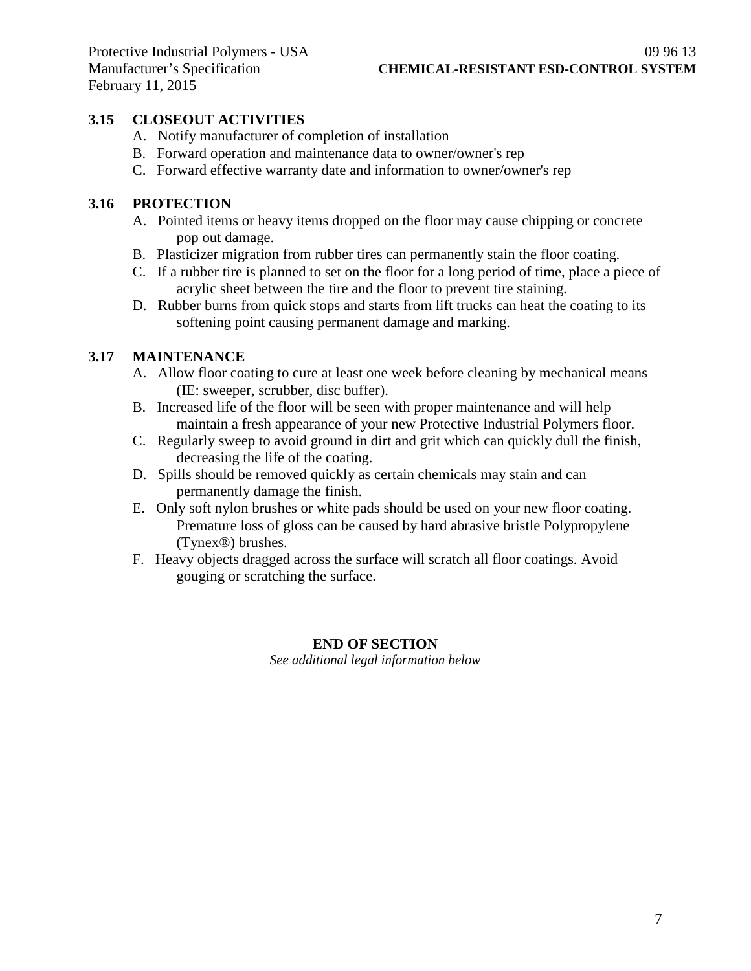## **3.15 CLOSEOUT ACTIVITIES**

- A. Notify manufacturer of completion of installation
- B. Forward operation and maintenance data to owner/owner's rep
- C. Forward effective warranty date and information to owner/owner's rep

#### **3.16 PROTECTION**

- A. Pointed items or heavy items dropped on the floor may cause chipping or concrete pop out damage.
- B. Plasticizer migration from rubber tires can permanently stain the floor coating.
- C. If a rubber tire is planned to set on the floor for a long period of time, place a piece of acrylic sheet between the tire and the floor to prevent tire staining.
- D. Rubber burns from quick stops and starts from lift trucks can heat the coating to its softening point causing permanent damage and marking.

### **3.17 MAINTENANCE**

- A. Allow floor coating to cure at least one week before cleaning by mechanical means (IE: sweeper, scrubber, disc buffer).
- B. Increased life of the floor will be seen with proper maintenance and will help maintain a fresh appearance of your new Protective Industrial Polymers floor.
- C. Regularly sweep to avoid ground in dirt and grit which can quickly dull the finish, decreasing the life of the coating.
- D. Spills should be removed quickly as certain chemicals may stain and can permanently damage the finish.
- E. Only soft nylon brushes or white pads should be used on your new floor coating. Premature loss of gloss can be caused by hard abrasive bristle Polypropylene (Tynex®) brushes.
- F. Heavy objects dragged across the surface will scratch all floor coatings. Avoid gouging or scratching the surface.

#### **END OF SECTION**

*See additional legal information below*